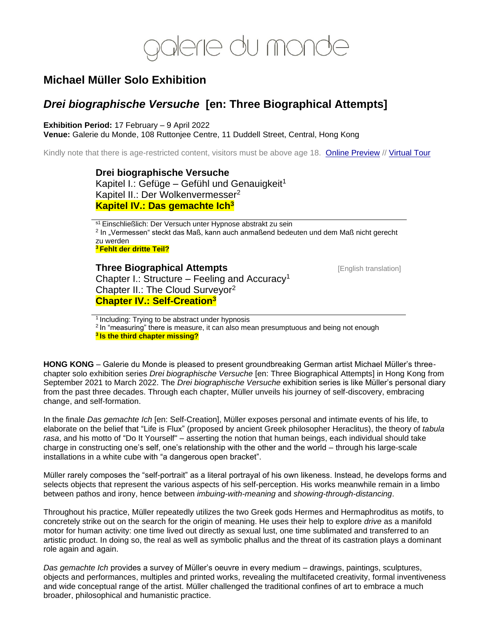

# **Michael Müller Solo Exhibition**

# *Drei biographische Versuche* **[en: Three Biographical Attempts]**

**Exhibition Period:** 17 February – 9 April 2022

**Venue:** Galerie du Monde, 108 Ruttonjee Centre, 11 Duddell Street, Central, Hong Kong

Kindly note that there is age-restricted content, visitors must be above age 18. [Online Preview](https://privateviews.artlogic.net/2/5a68555e1a186ac2a595f2/) // [Virtual Tour](https://galeriedumonde.com/exhibitions/73-michael-muller-drei-biographische-versuche-kapitel/video/)

**Drei biographische Versuche** Kapitel I.: Gefüge – Gefühl und Genauigkeit<sup>1</sup> Kapitel II.: Der Wolkenvermesser<sup>2</sup> **Kapitel IV.: Das gemachte Ich<sup>3</sup>**

s1 Einschließlich: Der Versuch unter Hypnose abstrakt zu sein <sup>2</sup> In "Vermessen" steckt das Maß, kann auch anmaßend bedeuten und dem Maß nicht gerecht zu werden **<sup>3</sup> Fehlt der dritte Teil?**

**Three Biographical Attempts English translation** Chapter I.: Structure – Feeling and Accuracy<sup>1</sup> Chapter II.: The Cloud Surveyor<sup>2</sup> **Chapter IV.: Self-Creation<sup>3</sup>**

<sup>1</sup> Including: Trying to be abstract under hypnosis <sup>2</sup> In "measuring" there is measure, it can also mean presumptuous and being not enough **3 Is the third chapter missing?**

**HONG KONG** – Galerie du Monde is pleased to present groundbreaking German artist Michael Müller's threechapter solo exhibition series *Drei biographische Versuche* [en: Three Biographical Attempts] in Hong Kong from September 2021 to March 2022. The *Drei biographische Versuche* exhibition series is like Müller's personal diary from the past three decades. Through each chapter, Müller unveils his journey of self-discovery, embracing change, and self-formation.

In the finale *Das gemachte Ich* [en: Self-Creation], Müller exposes personal and intimate events of his life, to elaborate on the belief that "Life is Flux" (proposed by ancient Greek philosopher Heraclitus), the theory of *tabula rasa*, and his motto of "Do It Yourself" – asserting the notion that human beings, each individual should take charge in constructing one's self, one's relationship with the other and the world – through his large-scale installations in a white cube with "a dangerous open bracket".

Müller rarely composes the "self-portrait" as a literal portrayal of his own likeness. Instead, he develops forms and selects objects that represent the various aspects of his self-perception. His works meanwhile remain in a limbo between pathos and irony, hence between *imbuing-with-meaning* and *showing-through-distancing*.

Throughout his practice, Müller repeatedly utilizes the two Greek gods Hermes and Hermaphroditus as motifs, to concretely strike out on the search for the origin of meaning. He uses their help to explore *drive* as a manifold motor for human activity: one time lived out directly as sexual lust, one time sublimated and transferred to an artistic product. In doing so, the real as well as symbolic phallus and the threat of its castration plays a dominant role again and again.

*Das gemachte Ich* provides a survey of Müller's oeuvre in every medium – drawings, paintings, sculptures, objects and performances, multiples and printed works, revealing the multifaceted creativity, formal inventiveness and wide conceptual range of the artist. Müller challenged the traditional confines of art to embrace a much broader, philosophical and humanistic practice.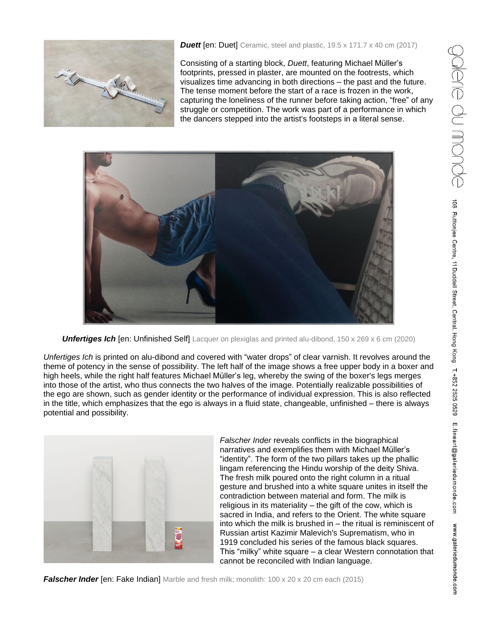

## **Duett** [en: Duet] Ceramic, steel and plastic, 19.5 x 171.7 x 40 cm (2017)

Consisting of a starting block, *Duett*, featuring Michael Müller's footprints, pressed in plaster, are mounted on the footrests, which visualizes time advancing in both directions – the past and the future. The tense moment before the start of a race is frozen in the work, capturing the loneliness of the runner before taking action, "free" of any struggle or competition. The work was part of a performance in which the dancers stepped into the artist's footsteps in a literal sense.



**Unfertiges Ich [en: Unfinished Self]** Lacquer on plexiglas and printed alu-dibond, 150 x 269 x 6 cm (2020)

*Unfertiges Ich* is printed on alu-dibond and covered with "water drops" of clear varnish. It revolves around the theme of potency in the sense of possibility. The left half of the image shows a free upper body in a boxer and high heels, while the right half features Michael Müller's leg, whereby the swing of the boxer's legs merges into those of the artist, who thus connects the two halves of the image. Potentially realizable possibilities of the ego are shown, such as gender identity or the performance of individual expression. This is also reflected in the title, which emphasizes that the ego is always in a fluid state, changeable, unfinished – there is always potential and possibility.



*Falscher Inder* reveals conflicts in the biographical narratives and exemplifies them with Michael Müller's "identity". The form of the two pillars takes up the phallic lingam referencing the Hindu worship of the deity Shiva. The fresh milk poured onto the right column in a ritual gesture and brushed into a white square unites in itself the contradiction between material and form. The milk is religious in its materiality – the gift of the cow, which is sacred in India, and refers to the Orient. The white square into which the milk is brushed in – the ritual is reminiscent of Russian artist Kazimir Malevich's Suprematism, who in 1919 concluded his series of the famous black squares. This "milky" white square – a clear Western connotation that cannot be reconciled with Indian language.

**Falscher Inder** [en: Fake Indian] Marble and fresh milk; monolith: 100 x 20 x 20 cm each (2015)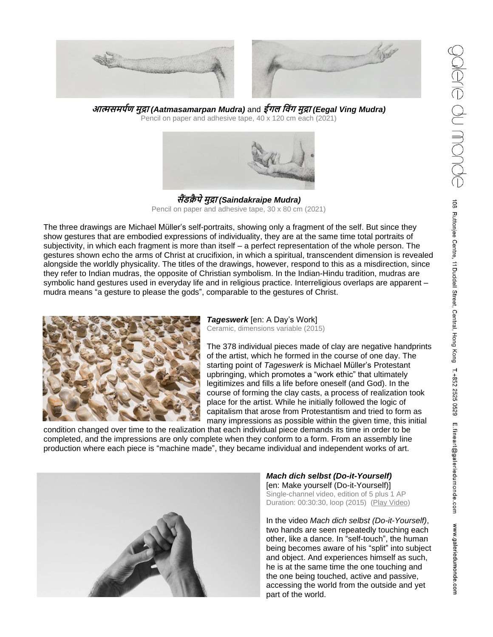E.fineart@galeriedumonde.com

www.galeriedumonde.com



**आत्मसमर्पण मुद्रा** *(Aatmasamarpan Mudra)* and **ईगल व िंग मुद्रा** *(Eegal Ving Mudra)* Pencil on paper and adhesive tape, 40 x 120 cm each (2021)



**सैंडक्रै र्ेमुद्रा** *(Saindakraipe Mudra)* Pencil on paper and adhesive tape, 30 x 80 cm (2021)

The three drawings are Michael Müller's self-portraits, showing only a fragment of the self. But since they show gestures that are embodied expressions of individuality, they are at the same time total portraits of subjectivity, in which each fragment is more than itself – a perfect representation of the whole person. The gestures shown echo the arms of Christ at crucifixion, in which a spiritual, transcendent dimension is revealed alongside the worldly physicality. The titles of the drawings, however, respond to this as a misdirection, since they refer to Indian mudras, the opposite of Christian symbolism. In the Indian-Hindu tradition, mudras are symbolic hand gestures used in everyday life and in religious practice. Interreligious overlaps are apparent – mudra means "a gesture to please the gods", comparable to the gestures of Christ.



## *Tageswerk* [en: A Day's Work]

Ceramic, dimensions variable (2015)

The 378 individual pieces made of clay are negative handprints of the artist, which he formed in the course of one day. The starting point of *Tageswerk* is Michael Müller's Protestant upbringing, which promotes a "work ethic" that ultimately legitimizes and fills a life before oneself (and God). In the course of forming the clay casts, a process of realization took place for the artist. While he initially followed the logic of capitalism that arose from Protestantism and tried to form as many impressions as possible within the given time, this initial

condition changed over time to the realization that each individual piece demands its time in order to be completed, and the impressions are only complete when they conform to a form. From an assembly line production where each piece is "machine made", they became individual and independent works of art.



*Mach dich selbst (Do-it-Yourself)* [en: Make yourself (Do-it-Yourself)] Single-channel video, edition of 5 plus 1 AP Duration: 00:30:30, loop (2015) [\(Play Video\)](https://youtu.be/RFcGD3ASoLs)

In the video *Mach dich selbst (Do-it-Yourself)*, two hands are seen repeatedly touching each other, like a dance. In "self-touch", the human being becomes aware of his "split" into subject and object. And experiences himself as such, he is at the same time the one touching and the one being touched, active and passive, accessing the world from the outside and yet part of the world.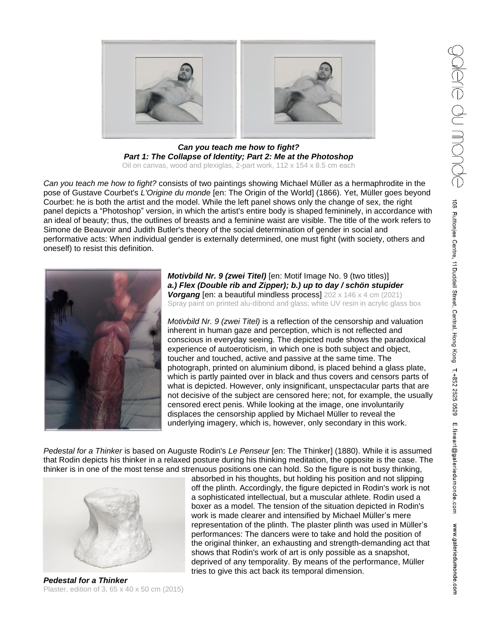www.galeriedumonde.com



*Can you teach me how to fight? Part 1: The Collapse of Identity; Part 2: Me at the Photoshop* Oil on canvas, wood and plexiglas, 2-part work, 112 x 154 x 8.5 cm each

*Can you teach me how to fight?* consists of two paintings showing Michael Müller as a hermaphrodite in the pose of Gustave Courbet's *L'Origine du monde* [en: The Origin of the World] (1866). Yet, Müller goes beyond Courbet: he is both the artist and the model. While the left panel shows only the change of sex, the right panel depicts a "Photoshop" version, in which the artist's entire body is shaped femininely, in accordance with an ideal of beauty; thus, the outlines of breasts and a feminine waist are visible. The title of the work refers to Simone de Beauvoir and Judith Butler's theory of the social determination of gender in social and performative acts: When individual gender is externally determined, one must fight (with society, others and oneself) to resist this definition.



*Motivbild Nr. 9 (zwei Titel)* [en: Motif Image No. 9 (two titles)] *a.) Flex (Double rib and Zipper); b.) up to day / schön stupider Vorgang* [en: a beautiful mindless process] 202 x 146 x 4 cm (2021) Spray paint on printed alu-dibond and glass; white UV resin in acrylic glass box

*Motivbild Nr. 9 (zwei Titel)* is a reflection of the censorship and valuation inherent in human gaze and perception, which is not reflected and conscious in everyday seeing. The depicted nude shows the paradoxical experience of autoeroticism, in which one is both subject and object, toucher and touched, active and passive at the same time. The photograph, printed on aluminium dibond, is placed behind a glass plate, which is partly painted over in black and thus covers and censors parts of what is depicted. However, only insignificant, unspectacular parts that are not decisive of the subject are censored here; not, for example, the usually censored erect penis. While looking at the image, one involuntarily displaces the censorship applied by Michael Müller to reveal the underlying imagery, which is, however, only secondary in this work.

*Pedestal for a Thinker* is based on Auguste Rodin's *Le Penseur* [en: The Thinker] (1880). While it is assumed that Rodin depicts his thinker in a relaxed posture during his thinking meditation, the opposite is the case. The thinker is in one of the most tense and strenuous positions one can hold. So the figure is not busy thinking,



*Pedestal for a Thinker* Plaster, edition of 3, 65 x 40 x 50 cm (2015)

absorbed in his thoughts, but holding his position and not slipping off the plinth. Accordingly, the figure depicted in Rodin's work is not a sophisticated intellectual, but a muscular athlete. Rodin used a boxer as a model. The tension of the situation depicted in Rodin's work is made clearer and intensified by Michael Müller's mere representation of the plinth. The plaster plinth was used in Müller's performances: The dancers were to take and hold the position of the original thinker, an exhausting and strength-demanding act that shows that Rodin's work of art is only possible as a snapshot, deprived of any temporality. By means of the performance, Müller tries to give this act back its temporal dimension.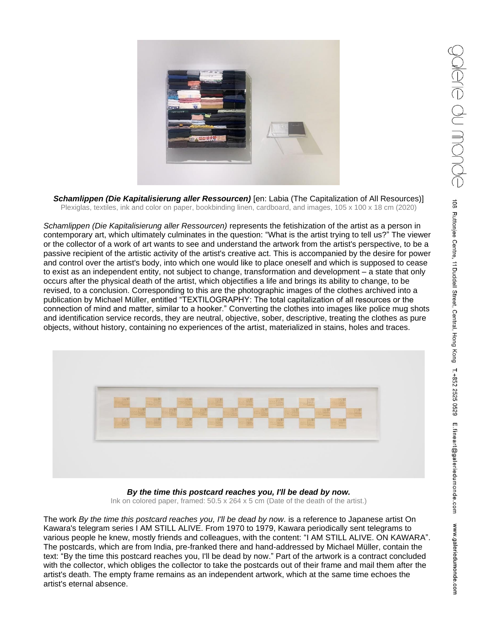

*Schamlippen (Die Kapitalisierung aller Ressourcen)* [en: Labia (The Capitalization of All Resources)] Plexiglas, textiles, ink and color on paper, bookbinding linen, cardboard, and images, 105 x 100 x 18 cm (2020)

*Schamlippen (Die Kapitalisierung aller Ressourcen)* represents the fetishization of the artist as a person in contemporary art, which ultimately culminates in the question: "What is the artist trying to tell us?" The viewer or the collector of a work of art wants to see and understand the artwork from the artist's perspective, to be a passive recipient of the artistic activity of the artist's creative act. This is accompanied by the desire for power and control over the artist's body, into which one would like to place oneself and which is supposed to cease to exist as an independent entity, not subject to change, transformation and development – a state that only occurs after the physical death of the artist, which objectifies a life and brings its ability to change, to be revised, to a conclusion. Corresponding to this are the photographic images of the clothes archived into a publication by Michael Müller, entitled "TEXTILOGRAPHY: The total capitalization of all resources or the connection of mind and matter, similar to a hooker." Converting the clothes into images like police mug shots and identification service records, they are neutral, objective, sober, descriptive, treating the clothes as pure objects, without history, containing no experiences of the artist, materialized in stains, holes and traces.



*By the time this postcard reaches you, I'll be dead by now.* Ink on colored paper, framed: 50.5 x 264 x 5 cm (Date of the death of the artist.)

The work *By the time this postcard reaches you, I'll be dead by now.* is a reference to Japanese artist On Kawara's telegram series I AM STILL ALIVE. From 1970 to 1979, Kawara periodically sent telegrams to various people he knew, mostly friends and colleagues, with the content: "I AM STILL ALIVE. ON KAWARA". The postcards, which are from India, pre-franked there and hand-addressed by Michael Müller, contain the text: "By the time this postcard reaches you, I'll be dead by now." Part of the artwork is a contract concluded with the collector, which obliges the collector to take the postcards out of their frame and mail them after the artist's death. The empty frame remains as an independent artwork, which at the same time echoes the artist's eternal absence.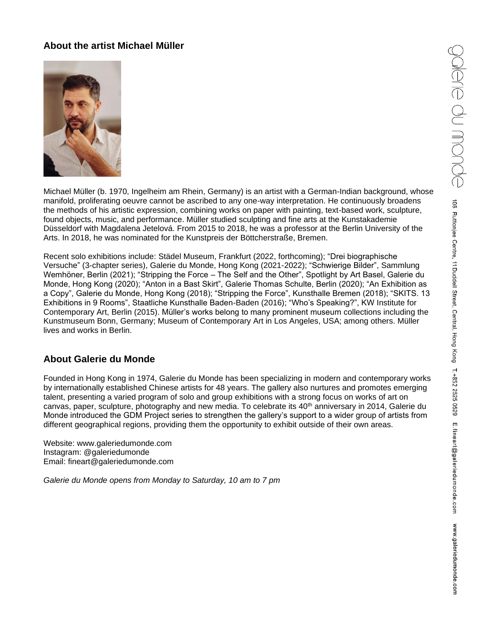# **About the artist Michael Müller**



Michael Müller (b. 1970, Ingelheim am Rhein, Germany) is an artist with a German-Indian background, whose manifold, proliferating oeuvre cannot be ascribed to any one-way interpretation. He continuously broadens the methods of his artistic expression, combining works on paper with painting, text-based work, sculpture, found objects, music, and performance. Müller studied sculpting and fine arts at the Kunstakademie Düsseldorf with Magdalena Jetelová. From 2015 to 2018, he was a professor at the Berlin University of the Arts. In 2018, he was nominated for the Kunstpreis der Böttcherstraße, Bremen.

Recent solo exhibitions include: Städel Museum, Frankfurt (2022, forthcoming); "Drei biographische Versuche" (3-chapter series), Galerie du Monde, Hong Kong (2021-2022); "Schwierige Bilder", Sammlung Wemhöner, Berlin (2021); "Stripping the Force – The Self and the Other", Spotlight by Art Basel, Galerie du Monde, Hong Kong (2020); "Anton in a Bast Skirt", Galerie Thomas Schulte, Berlin (2020); "An Exhibition as a Copy", Galerie du Monde, Hong Kong (2018); "Stripping the Force", Kunsthalle Bremen (2018); "SKITS. 13 Exhibitions in 9 Rooms", Staatliche Kunsthalle Baden-Baden (2016); "Who's Speaking?", KW Institute for Contemporary Art, Berlin (2015). Müller's works belong to many prominent museum collections including the Kunstmuseum Bonn, Germany; Museum of Contemporary Art in Los Angeles, USA; among others. Müller lives and works in Berlin.

# **About Galerie du Monde**

Founded in Hong Kong in 1974, Galerie du Monde has been specializing in modern and contemporary works by internationally established Chinese artists for 48 years. The gallery also nurtures and promotes emerging talent, presenting a varied program of solo and group exhibitions with a strong focus on works of art on canvas, paper, sculpture, photography and new media. To celebrate its 40<sup>th</sup> anniversary in 2014, Galerie du Monde introduced the GDM Project series to strengthen the gallery's support to a wider group of artists from different geographical regions, providing them the opportunity to exhibit outside of their own areas.

Website: [www.galeriedumonde.com](http://www.galeriedumonde.com/) Instagram: @galeriedumonde Email: [fineart@galeriedumonde.com](mailto:fineart@galeriedumonde.com)

*Galerie du Monde opens from Monday to Saturday, 10 am to 7 pm*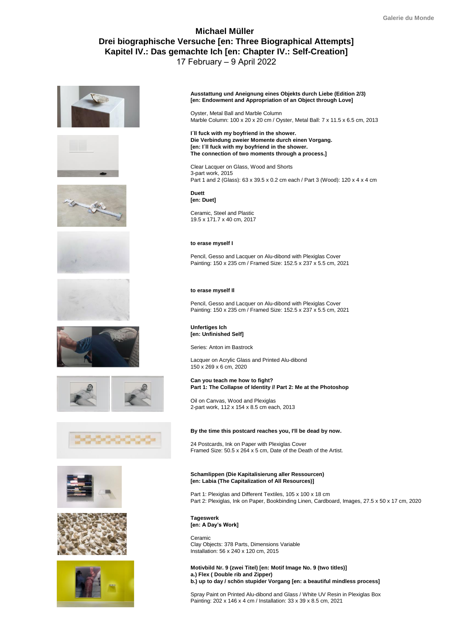# **Michael Müller Drei biographische Versuche [en: Three Biographical Attempts] Kapitel IV.: Das gemachte Ich [en: Chapter IV.: Self-Creation]** 17 February – 9 April 2022























**Ausstattung und Aneignung eines Objekts durch Liebe (Edition 2/3) [en: Endowment and Appropriation of an Object through Love]**

Oyster, Metal Ball and Marble Column Marble Column: 100 x 20 x 20 cm / Oyster, Metal Ball: 7 x 11.5 x 6.5 cm, 2013

**I´ll fuck with my boyfriend in the shower. Die Verbindung zweier Momente durch einen Vorgang. [en: I´ll fuck with my boyfriend in the shower. The connection of two moments through a process.]**

Clear Lacquer on Glass, Wood and Shorts 3-part work, 2015 Part 1 and 2 (Glass): 63 x 39.5 x 0.2 cm each / Part 3 (Wood): 120 x 4 x 4 cm

**Duett [en: Duet]**

Ceramic, Steel and Plastic 19.5 x 171.7 x 40 cm, 2017

### **to erase myself I**

Pencil, Gesso and Lacquer on Alu-dibond with Plexiglas Cover Painting: 150 x 235 cm / Framed Size: 152.5 x 237 x 5.5 cm, 2021

### **to erase myself Il**

Pencil, Gesso and Lacquer on Alu-dibond with Plexiglas Cover Painting: 150 x 235 cm / Framed Size: 152.5 x 237 x 5.5 cm, 2021

### **Unfertiges Ich [en: Unfinished Self]**

Series: Anton im Bastrock

Lacquer on Acrylic Glass and Printed Alu-dibond 150 x 269 x 6 cm, 2020

**Can you teach me how to fight? Part 1: The Collapse of Identity // Part 2: Me at the Photoshop**

Oil on Canvas, Wood and Plexiglas 2-part work, 112 x 154 x 8.5 cm each, 2013

### **By the time this postcard reaches you, I'll be dead by now.**

24 Postcards, Ink on Paper with Plexiglas Cover Framed Size: 50.5 x 264 x 5 cm, Date of the Death of the Artist.

### **Schamlippen (Die Kapitalisierung aller Ressourcen) [en: Labia (The Capitalization of All Resources)]**

Part 1: Plexiglas and Different Textiles, 105 x 100 x 18 cm Part 2: Plexiglas, Ink on Paper, Bookbinding Linen, Cardboard, Images, 27.5 x 50 x 17 cm, 2020

**Tageswerk [en: A Day's Work]** 

Ceramic Clay Objects: 378 Parts, Dimensions Variable Installation: 56 x 240 x 120 cm, 2015

**Motivbild Nr. 9 (zwei Titel) [en: Motif Image No. 9 (two titles)] a.) Flex ( Double rib and Zipper) b.) up to day / schön stupider Vorgang [en: a beautiful mindless process]** 

Spray Paint on Printed Alu-dibond and Glass / White UV Resin in Plexiglas Box Painting: 202 x 146 x 4 cm / Installation: 33 x 39 x 8.5 cm, 2021